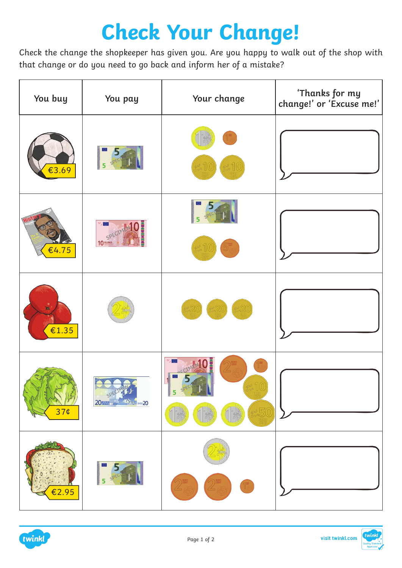## **Check Your Change!**

Check the change the shopkeeper has given you. Are you happy to walk out of the shop with that change or do you need to go back and inform her of a mistake?

| You buy                 | You pay                                       | Your change | 'Thanks for my<br>change!' or 'Excuse me!' |
|-------------------------|-----------------------------------------------|-------------|--------------------------------------------|
| €3.69                   |                                               | S 10        |                                            |
| €4.75                   | $\circ$ .<br>10 SPECIN                        |             |                                            |
| $\blacksquare$<br>€1.35 |                                               | 20          |                                            |
| 37¢                     | SPEC<br><b>20 WS</b><br><b>19 3 4 1999 20</b> | 5<br>\$50   |                                            |
| $\overline{2.95}$       |                                               |             |                                            |

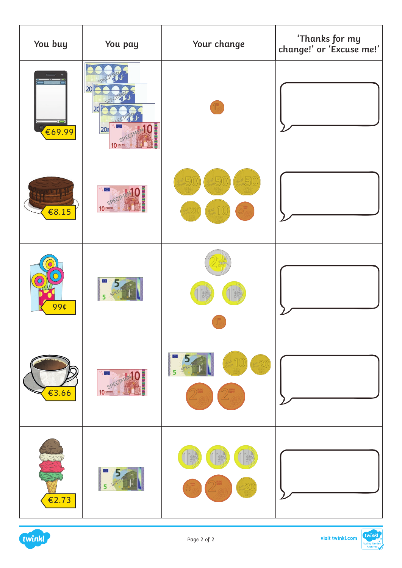| You buy               | You pay                        | Your change               | 'Thanks for my<br>change!' or 'Excuse me!' |
|-----------------------|--------------------------------|---------------------------|--------------------------------------------|
| $\supset$<br>€69.99   | 20<br>20<br>20個<br>10 SPECIMEN |                           |                                            |
| € $8.15$              | 10 SPECIME                     | 5<br>25                   |                                            |
| $\overline{O}$<br>99¢ |                                |                           |                                            |
| €3.66                 | 10 SPECIMENT                   | 5<br>20<br>$\overline{5}$ |                                            |
| €2.73                 | 5                              | 20                        |                                            |

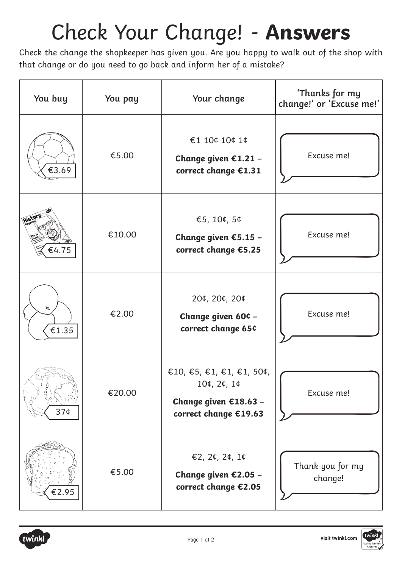## Check Your Change! - **Answers**

Check the change the shopkeeper has given you. Are you happy to walk out of the shop with that change or do you need to go back and inform her of a mistake?

| You buy         | You pay | Your change                                                                                | 'Thanks for my<br>change!' or 'Excuse me!' |
|-----------------|---------|--------------------------------------------------------------------------------------------|--------------------------------------------|
| €3.69           | €5.00   | €1 10¢ 10¢ 1¢<br>Change given €1.21 -<br>correct change €1.31                              | Excuse me!                                 |
| Histor<br>€4.75 | €10.00  | €5, 10¢, 5¢<br>Change given €5.15 -<br>correct change €5.25                                | Excuse me!                                 |
| 减<br>€1.35      | €2.00   | 20¢, 20¢, 20¢<br>Change given 60¢ -<br>correct change 65¢                                  | Excuse me!                                 |
| 37¢             | €20.00  | €10, €5, €1, €1, €1, 50¢,<br>10¢, 2¢, 1¢<br>Change given €18.63 -<br>correct change €19.63 | Excuse me!                                 |
| €2.95           | €5.00   | €2, 2¢, 2¢, 1¢<br>Change given €2.05 -<br>correct change €2.05                             | Thank you for my<br>change!                |